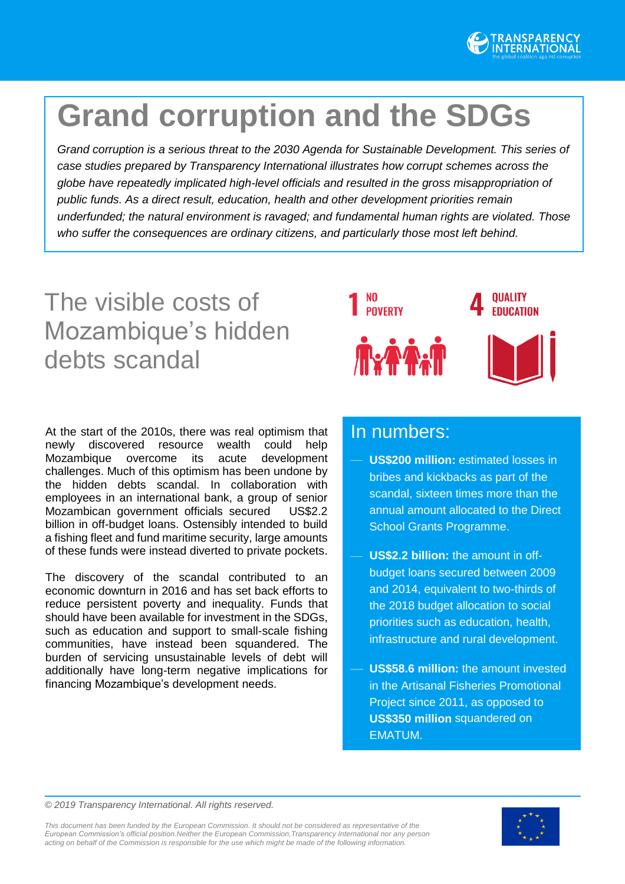

# **Grand corruption and the SDGs**

*Grand corruption is a serious threat to the 2030 Agenda for Sustainable Development. This series of case studies prepared by Transparency International illustrates how corrupt schemes across the globe have repeatedly implicated high-level officials and resulted in the gross misappropriation of public funds. As a direct result, education, health and other development priorities remain underfunded; the natural environment is ravaged; and fundamental human rights are violated. Those who suffer the consequences are ordinary citizens, and particularly those most left behind.*

# The visible costs of Mozambique's hidden debts scandal

**OUALITY POVERTY EDUCATION** 

At the start of the 2010s, there was real optimism that newly discovered resource wealth could help Mozambique overcome its acute development challenges. Much of this optimism has been undone by the hidden debts scandal. In collaboration with employees in an international bank, a group of senior Mozambican government officials secured US\$2.2 billion in off-budget loans. Ostensibly intended to build a fishing fleet and fund maritime security, large amounts of these funds were instead diverted to private pockets.

The discovery of the scandal contributed to an economic downturn in 2016 and has set back efforts to reduce persistent poverty and inequality. Funds that should have been available for investment in the SDGs, such as education and support to small-scale fishing communities, have instead been squandered. The burden of servicing unsustainable levels of debt will additionally have long-term negative implications for financing Mozambique's development needs.

# In numbers:

- **US\$200 million:** estimated losses in bribes and kickbacks as part of the scandal, sixteen times more than the annual amount allocated to the Direct School Grants Programme.
- **US\$2.2 billion:** the amount in offbudget loans secured between 2009 and 2014, equivalent to two-thirds of the 2018 budget allocation to social priorities such as education, health, infrastructure and rural development.
- **US\$58.6 million:** the amount invested in the Artisanal Fisheries Promotional Project since 2011, as opposed to **US\$350 million** squandered on EMATUM.

*© 2019 Transparency International. All rights reserved.*

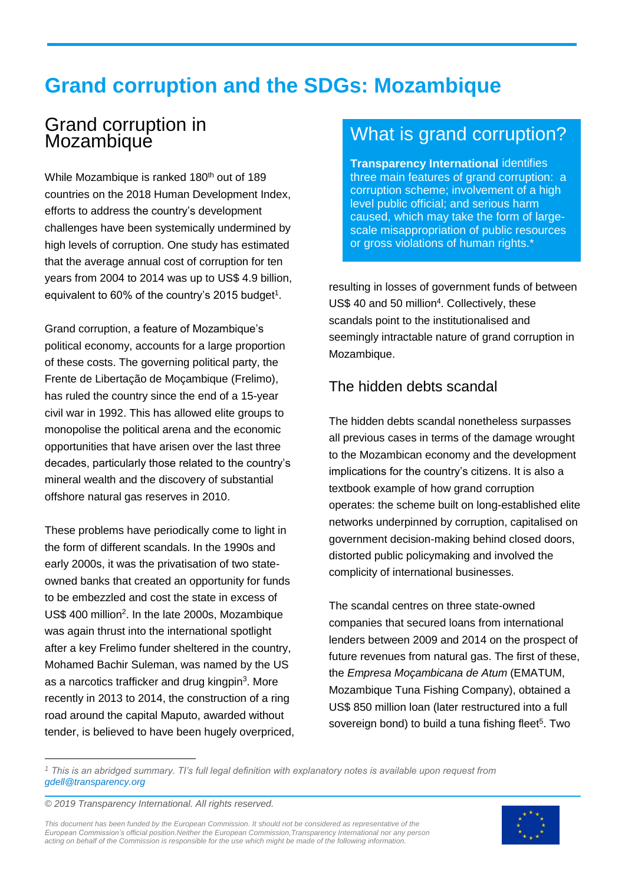# **Grand corruption and the SDGs: Mozambique**

# Grand corruption in **Mozambique**

While Mozambique is ranked 180<sup>th</sup> out of 189 countries on the 2018 Human Development Index, efforts to address the country's development challenges have been systemically undermined by high levels of corruption. One study has estimated that the average annual cost of corruption for ten years from 2004 to 2014 was up to US\$ 4.9 billion, equivalent to 60% of the country's 2015 budget<sup>1</sup>.

Grand corruption, a feature of Mozambique's political economy, accounts for a large proportion of these costs. The governing political party, the Frente de Libertação de Moçambique (Frelimo), has ruled the country since the end of a 15-year civil war in 1992. This has allowed elite groups to monopolise the political arena and the economic opportunities that have arisen over the last three decades, particularly those related to the country's mineral wealth and the discovery of substantial offshore natural gas reserves in 2010.

These problems have periodically come to light in the form of different scandals. In the 1990s and early 2000s, it was the privatisation of two stateowned banks that created an opportunity for funds to be embezzled and cost the state in excess of US\$ 400 million<sup>2</sup>. In the late 2000s, Mozambique was again thrust into the international spotlight after a key Frelimo funder sheltered in the country, Mohamed Bachir Suleman, was named by the US as a narcotics trafficker and drug kingpin<sup>3</sup>. More recently in 2013 to 2014, the construction of a ring road around the capital Maputo, awarded without tender, is believed to have been hugely overpriced,

# What is grand corruption?

**Transparency International** identifies three main features of grand corruption: a corruption scheme; involvement of a high level public official; and serious harm caused, which may take the form of largescale misappropriation of public resources or gross violations of human rights.\*

resulting in losses of government funds of between US\$ 40 and 50 million<sup>4</sup>. Collectively, these scandals point to the institutionalised and seemingly intractable nature of grand corruption in Mozambique.

## The hidden debts scandal

The hidden debts scandal nonetheless surpasses all previous cases in terms of the damage wrought to the Mozambican economy and the development implications for the country's citizens. It is also a textbook example of how grand corruption operates: the scheme built on long-established elite networks underpinned by corruption, capitalised on government decision-making behind closed doors, distorted public policymaking and involved the complicity of international businesses.

The scandal centres on three state-owned companies that secured loans from international lenders between 2009 and 2014 on the prospect of future revenues from natural gas. The first of these, the *Empresa Moçambicana de Atum* (EMATUM, Mozambique Tuna Fishing Company), obtained a US\$ 850 million loan (later restructured into a full sovereign bond) to build a tuna fishing fleet<sup>5</sup>. Two

*<sup>1</sup> This is an abridged summary. TI's full legal definition with explanatory notes is available upon request from [gdell@transparency.org](mailto:gdell@transparency.org)*

*© 2019 Transparency International. All rights reserved.*

 $\ddot{ }$ 

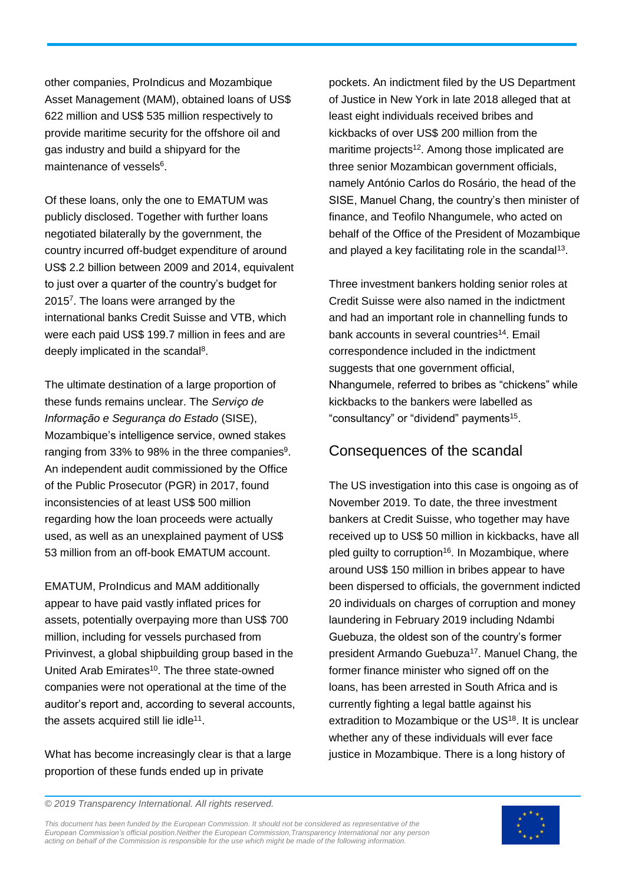other companies, ProIndicus and Mozambique Asset Management (MAM), obtained loans of US\$ 622 million and US\$ 535 million respectively to provide maritime security for the offshore oil and gas industry and build a shipyard for the maintenance of vessels<sup>6</sup>.

Of these loans, only the one to EMATUM was publicly disclosed. Together with further loans negotiated bilaterally by the government, the country incurred off-budget expenditure of around US\$ 2.2 billion between 2009 and 2014, equivalent to just over a quarter of the country's budget for 2015<sup>7</sup> . The loans were arranged by the international banks Credit Suisse and VTB, which were each paid US\$ 199.7 million in fees and are deeply implicated in the scandal<sup>8</sup>.

The ultimate destination of a large proportion of these funds remains unclear. The *Serviço de Informação e Segurança do Estado* (SISE), Mozambique's intelligence service, owned stakes ranging from 33% to 98% in the three companies<sup>9</sup>. An independent audit commissioned by the Office of the Public Prosecutor (PGR) in 2017, found inconsistencies of at least US\$ 500 million regarding how the loan proceeds were actually used, as well as an unexplained payment of US\$ 53 million from an off-book EMATUM account.

EMATUM, ProIndicus and MAM additionally appear to have paid vastly inflated prices for assets, potentially overpaying more than US\$ 700 million, including for vessels purchased from Privinvest, a global shipbuilding group based in the United Arab Emirates<sup>10</sup>. The three state-owned companies were not operational at the time of the auditor's report and, according to several accounts, the assets acquired still lie idle<sup>11</sup>.

What has become increasingly clear is that a large proportion of these funds ended up in private

pockets. An indictment filed by the US Department of Justice in New York in late 2018 alleged that at least eight individuals received bribes and kickbacks of over US\$ 200 million from the maritime projects<sup>12</sup>. Among those implicated are three senior Mozambican government officials, namely António Carlos do Rosário, the head of the SISE, Manuel Chang, the country's then minister of finance, and Teofilo Nhangumele, who acted on behalf of the Office of the President of Mozambique and played a key facilitating role in the scandal<sup>13</sup>.

Three investment bankers holding senior roles at Credit Suisse were also named in the indictment and had an important role in channelling funds to bank accounts in several countries<sup>14</sup>. Email correspondence included in the indictment suggests that one government official, Nhangumele, referred to bribes as "chickens" while kickbacks to the bankers were labelled as "consultancy" or "dividend" payments<sup>15</sup>.

#### Consequences of the scandal

The US investigation into this case is ongoing as of November 2019. To date, the three investment bankers at Credit Suisse, who together may have received up to US\$ 50 million in kickbacks, have all pled guilty to corruption<sup>16</sup>. In Mozambique, where around US\$ 150 million in bribes appear to have been dispersed to officials, the government indicted 20 individuals on charges of corruption and money laundering in February 2019 including Ndambi Guebuza, the oldest son of the country's former president Armando Guebuza<sup>17</sup>. Manuel Chang, the former finance minister who signed off on the loans, has been arrested in South Africa and is currently fighting a legal battle against his extradition to Mozambique or the US<sup>18</sup>. It is unclear whether any of these individuals will ever face justice in Mozambique. There is a long history of

*© 2019 Transparency International. All rights reserved.*

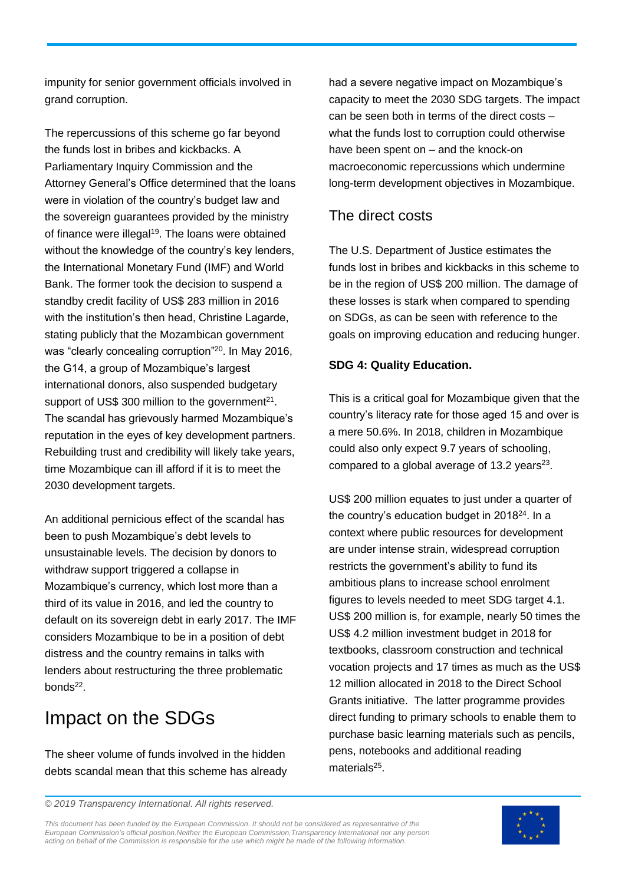impunity for senior government officials involved in grand corruption.

The repercussions of this scheme go far beyond the funds lost in bribes and kickbacks. A Parliamentary Inquiry Commission and the Attorney General's Office determined that the loans were in violation of the country's budget law and the sovereign guarantees provided by the ministry of finance were illegal<sup>19</sup>. The loans were obtained without the knowledge of the country's key lenders, the International Monetary Fund (IMF) and World Bank. The former took the decision to suspend a standby credit facility of US\$ 283 million in 2016 with the institution's then head, Christine Lagarde, stating publicly that the Mozambican government was "clearly concealing corruption"<sup>20</sup> . In May 2016, the G14, a group of Mozambique's largest international donors, also suspended budgetary support of US\$ 300 million to the government<sup>21</sup>. The scandal has grievously harmed Mozambique's reputation in the eyes of key development partners. Rebuilding trust and credibility will likely take years, time Mozambique can ill afford if it is to meet the 2030 development targets.

An additional pernicious effect of the scandal has been to push Mozambique's debt levels to unsustainable levels. The decision by donors to withdraw support triggered a collapse in Mozambique's currency, which lost more than a third of its value in 2016, and led the country to default on its sovereign debt in early 2017. The IMF considers Mozambique to be in a position of debt distress and the country remains in talks with lenders about restructuring the three problematic bonds<sup>22</sup>.

# Impact on the SDGs

The sheer volume of funds involved in the hidden debts scandal mean that this scheme has already

had a severe negative impact on Mozambique's capacity to meet the 2030 SDG targets. The impact can be seen both in terms of the direct costs – what the funds lost to corruption could otherwise have been spent on – and the knock-on macroeconomic repercussions which undermine long-term development objectives in Mozambique.

#### The direct costs

The U.S. Department of Justice estimates the funds lost in bribes and kickbacks in this scheme to be in the region of US\$ 200 million. The damage of these losses is stark when compared to spending on SDGs, as can be seen with reference to the goals on improving education and reducing hunger.

#### **SDG 4: Quality Education.**

This is a critical goal for Mozambique given that the country's literacy rate for those aged 15 and over is a mere 50.6%. In 2018, children in Mozambique could also only expect 9.7 years of schooling, compared to a global average of 13.2 years $23$ .

US\$ 200 million equates to just under a quarter of the country's education budget in 2018<sup>24</sup>. In a context where public resources for development are under intense strain, widespread corruption restricts the government's ability to fund its ambitious plans to increase school enrolment figures to levels needed to meet SDG target 4.1. US\$ 200 million is, for example, nearly 50 times the US\$ 4.2 million investment budget in 2018 for textbooks, classroom construction and technical vocation projects and 17 times as much as the US\$ 12 million allocated in 2018 to the Direct School Grants initiative. The latter programme provides direct funding to primary schools to enable them to purchase basic learning materials such as pencils, pens, notebooks and additional reading materials<sup>25</sup>.

*© 2019 Transparency International. All rights reserved.*

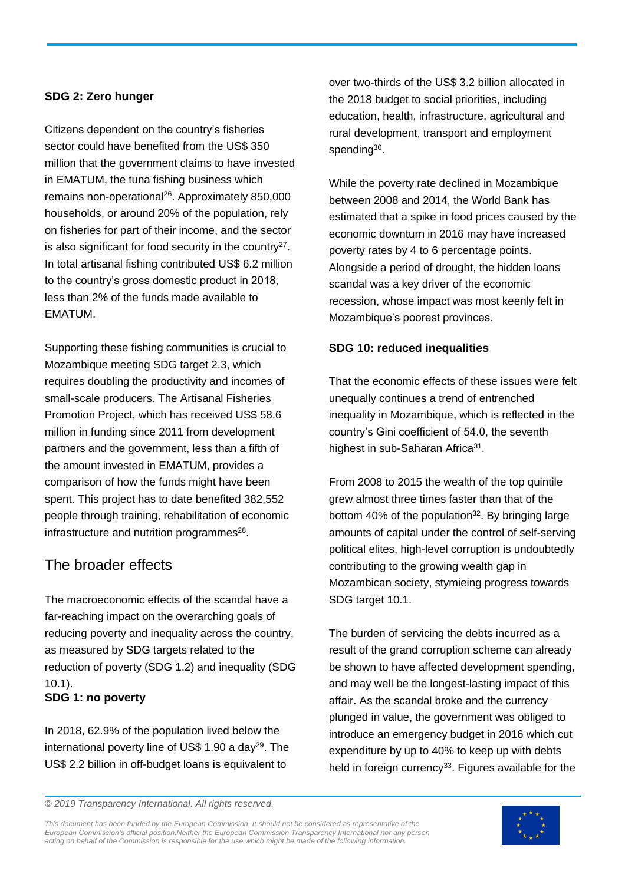#### **SDG 2: Zero hunger**

Citizens dependent on the country's fisheries sector could have benefited from the US\$ 350 million that the government claims to have invested in EMATUM, the tuna fishing business which remains non-operational<sup>26</sup>. Approximately 850,000 households, or around 20% of the population, rely on fisheries for part of their income, and the sector is also significant for food security in the country<sup>27</sup>. In total artisanal fishing contributed US\$ 6.2 million to the country's gross domestic product in 2018, less than 2% of the funds made available to EMATUM.

Supporting these fishing communities is crucial to Mozambique meeting SDG target 2.3, which requires doubling the productivity and incomes of small-scale producers. The Artisanal Fisheries Promotion Project, which has received US\$ 58.6 million in funding since 2011 from development partners and the government, less than a fifth of the amount invested in EMATUM, provides a comparison of how the funds might have been spent. This project has to date benefited 382,552 people through training, rehabilitation of economic infrastructure and nutrition programmes<sup>28</sup>.

### The broader effects

The macroeconomic effects of the scandal have a far-reaching impact on the overarching goals of reducing poverty and inequality across the country, as measured by SDG targets related to the reduction of poverty (SDG 1.2) and inequality (SDG 10.1). **SDG 1: no poverty**

In 2018, 62.9% of the population lived below the international poverty line of US\$ 1.90 a day<sup>29</sup>. The US\$ 2.2 billion in off-budget loans is equivalent to

over two-thirds of the US\$ 3.2 billion allocated in the 2018 budget to social priorities, including education, health, infrastructure, agricultural and rural development, transport and employment spending<sup>30</sup>.

While the poverty rate declined in Mozambique between 2008 and 2014, the World Bank has estimated that a spike in food prices caused by the economic downturn in 2016 may have increased poverty rates by 4 to 6 percentage points. Alongside a period of drought, the hidden loans scandal was a key driver of the economic recession, whose impact was most keenly felt in Mozambique's poorest provinces.

#### **SDG 10: reduced inequalities**

That the economic effects of these issues were felt unequally continues a trend of entrenched inequality in Mozambique, which is reflected in the country's Gini coefficient of 54.0, the seventh highest in sub-Saharan Africa<sup>31</sup>.

From 2008 to 2015 the wealth of the top quintile grew almost three times faster than that of the bottom 40% of the population<sup>32</sup>. By bringing large amounts of capital under the control of self-serving political elites, high-level corruption is undoubtedly contributing to the growing wealth gap in Mozambican society, stymieing progress towards SDG target 10.1.

The burden of servicing the debts incurred as a result of the grand corruption scheme can already be shown to have affected development spending, and may well be the longest-lasting impact of this affair. As the scandal broke and the currency plunged in value, the government was obliged to introduce an emergency budget in 2016 which cut expenditure by up to 40% to keep up with debts held in foreign currency<sup>33</sup>. Figures available for the

*© 2019 Transparency International. All rights reserved.*

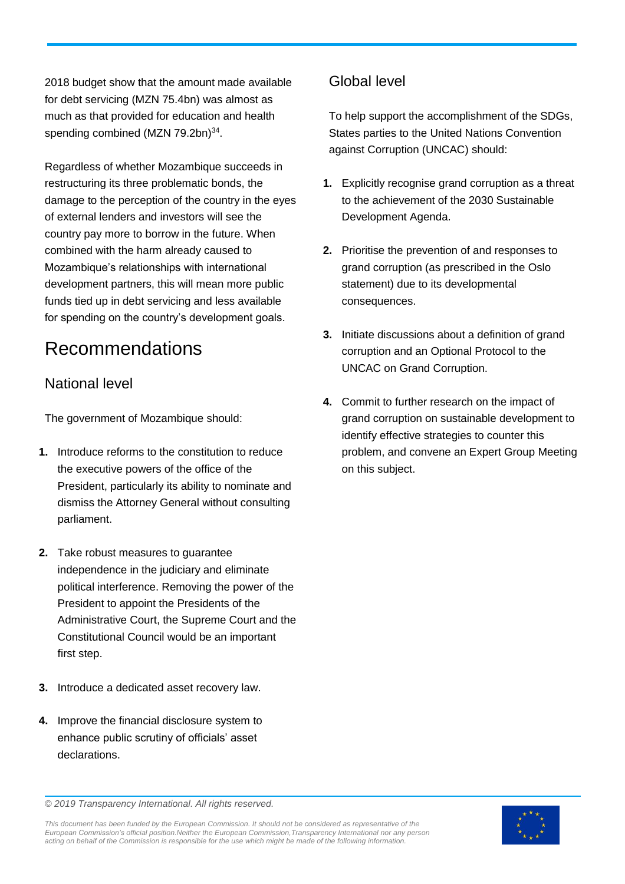2018 budget show that the amount made available for debt servicing (MZN 75.4bn) was almost as much as that provided for education and health spending combined (MZN 79.2bn)<sup>34</sup>.

Regardless of whether Mozambique succeeds in restructuring its three problematic bonds, the damage to the perception of the country in the eyes of external lenders and investors will see the country pay more to borrow in the future. When combined with the harm already caused to Mozambique's relationships with international development partners, this will mean more public funds tied up in debt servicing and less available for spending on the country's development goals.

# Recommendations

### National level

The government of Mozambique should:

- **1.** Introduce reforms to the constitution to reduce the executive powers of the office of the President, particularly its ability to nominate and dismiss the Attorney General without consulting parliament.
- **2.** Take robust measures to guarantee independence in the judiciary and eliminate political interference. Removing the power of the President to appoint the Presidents of the Administrative Court, the Supreme Court and the Constitutional Council would be an important first step.
- **3.** Introduce a dedicated asset recovery law.
- **4.** Improve the financial disclosure system to enhance public scrutiny of officials' asset declarations.

### Global level

To help support the accomplishment of the SDGs, States parties to the United Nations Convention against Corruption (UNCAC) should:

- **1.** Explicitly recognise grand corruption as a threat to the achievement of the 2030 Sustainable Development Agenda.
- **2.** Prioritise the prevention of and responses to grand corruption (as prescribed in the Oslo statement) due to its developmental consequences.
- **3.** Initiate discussions about a definition of grand corruption and an Optional Protocol to the UNCAC on Grand Corruption.
- **4.** Commit to further research on the impact of grand corruption on sustainable development to identify effective strategies to counter this problem, and convene an Expert Group Meeting on this subject.

*© 2019 Transparency International. All rights reserved.*

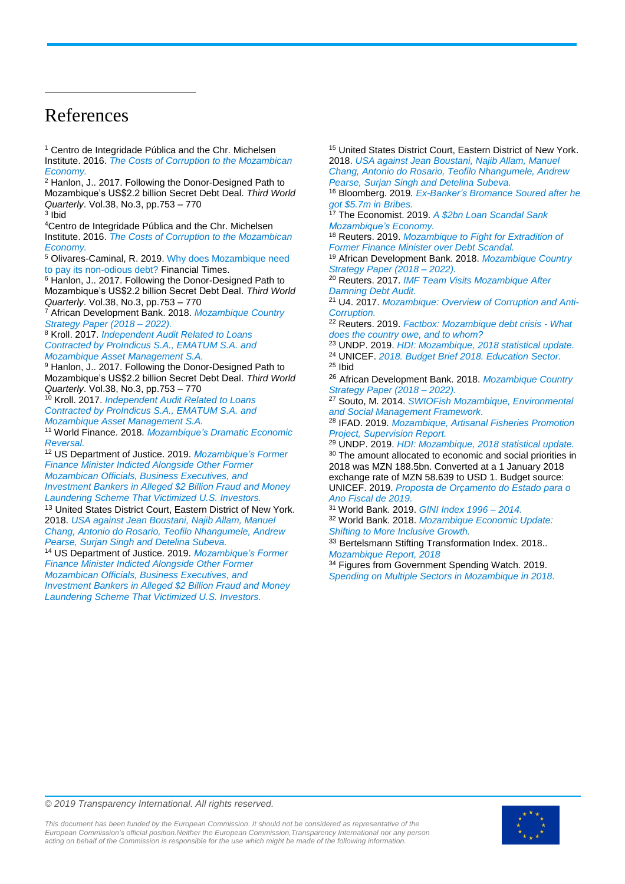# References

l

<sup>1</sup> Centro de Integridade Pública and the Chr. Michelsen Institute. 2016. *[The Costs of Corruption to the Mozambican](https://www.cmi.no/publications/file/6027-the-costs-of-corruption-to-the-mozambican-economy.pdf)  [Economy.](https://www.cmi.no/publications/file/6027-the-costs-of-corruption-to-the-mozambican-economy.pdf)*

<sup>2</sup> Hanlon, J.. 2017. Following the Donor-Designed Path to Mozambique's US\$2.2 billion Secret Debt Deal. *Third World Quarterly*. Vol.38, No.3, pp.753 – 770

<sup>3</sup> Ibid <sup>4</sup>Centro de Integridade Pública and the Chr. Michelsen Institute. 2016. *[The Costs of Corruption to the Mozambican](https://www.cmi.no/publications/file/6027-the-costs-of-corruption-to-the-mozambican-economy.pdf)  [Economy.](https://www.cmi.no/publications/file/6027-the-costs-of-corruption-to-the-mozambican-economy.pdf)*

<sup>5</sup> Olivares-Caminal, R. 2019. [Why does Mozambique need](https://ftalphaville.ft.com/2019/04/04/1554350405000/Why-does-Mozambique-need-to-pay-its-non-odious-debt-/)  [to pay its non-odious debt?](https://ftalphaville.ft.com/2019/04/04/1554350405000/Why-does-Mozambique-need-to-pay-its-non-odious-debt-/) Financial Times.

<sup>6</sup> Hanlon, J.. 2017. Following the Donor-Designed Path to Mozambique's US\$2.2 billion Secret Debt Deal. *Third World Quarterly*. Vol.38, No.3, pp.753 – 770

<sup>7</sup> African Development Bank. 2018. *[Mozambique Country](https://www.afdb.org/en/documents/document/mozambique-country-strategy-paper-2018-2022-103013)  [Strategy Paper \(2018 –](https://www.afdb.org/en/documents/document/mozambique-country-strategy-paper-2018-2022-103013) 2022).*

<sup>8</sup> Kroll. 2017. *[Independent Audit Related to Loans](https://www.open.ac.uk/technology/mozambique/sites/www.open.ac.uk.technology.mozambique/files/files/2017-06-23_Project%20Montague%20-%20Independent%20Audit%20Executive%20Summary%20English%20(REDACTED%20FOR%20PUBLISHING).pdf)  [Contracted by ProIndicus S.A., EMATUM S.A. and](https://www.open.ac.uk/technology/mozambique/sites/www.open.ac.uk.technology.mozambique/files/files/2017-06-23_Project%20Montague%20-%20Independent%20Audit%20Executive%20Summary%20English%20(REDACTED%20FOR%20PUBLISHING).pdf)  [Mozambique Asset Management S.A.](https://www.open.ac.uk/technology/mozambique/sites/www.open.ac.uk.technology.mozambique/files/files/2017-06-23_Project%20Montague%20-%20Independent%20Audit%20Executive%20Summary%20English%20(REDACTED%20FOR%20PUBLISHING).pdf)*

<sup>9</sup> Hanlon, J.. 2017. Following the Donor-Designed Path to Mozambique's US\$2.2 billion Secret Debt Deal. *Third World Quarterly*. Vol.38, No.3, pp.753 – 770

<sup>10</sup> Kroll. 2017. *[Independent Audit Related to Loans](https://www.open.ac.uk/technology/mozambique/sites/www.open.ac.uk.technology.mozambique/files/files/2017-06-23_Project%20Montague%20-%20Independent%20Audit%20Executive%20Summary%20English%20(REDACTED%20FOR%20PUBLISHING).pdf)  [Contracted by ProIndicus S.A., EMATUM S.A. and](https://www.open.ac.uk/technology/mozambique/sites/www.open.ac.uk.technology.mozambique/files/files/2017-06-23_Project%20Montague%20-%20Independent%20Audit%20Executive%20Summary%20English%20(REDACTED%20FOR%20PUBLISHING).pdf)  [Mozambique Asset Management S.A.](https://www.open.ac.uk/technology/mozambique/sites/www.open.ac.uk.technology.mozambique/files/files/2017-06-23_Project%20Montague%20-%20Independent%20Audit%20Executive%20Summary%20English%20(REDACTED%20FOR%20PUBLISHING).pdf)*

<sup>11</sup> World Finance. 2018. *[Mozambique's Dramatic Economic](https://www.worldfinance.com/special-reports/the-mozambique-debt-crisis)  [Reversal.](https://www.worldfinance.com/special-reports/the-mozambique-debt-crisis)*

<sup>12</sup> US Department of Justice. 2019. *[Mozambique's Former](https://www.justice.gov/opa/pr/mozambique-s-former-finance-minister-indicted-alongside-other-former-mozambican-officials)  [Finance Minister Indicted Alongside Other Former](https://www.justice.gov/opa/pr/mozambique-s-former-finance-minister-indicted-alongside-other-former-mozambican-officials)  [Mozambican Officials, Business Executives, and](https://www.justice.gov/opa/pr/mozambique-s-former-finance-minister-indicted-alongside-other-former-mozambican-officials)  [Investment Bankers in Alleged \\$2 Billion Fraud and Money](https://www.justice.gov/opa/pr/mozambique-s-former-finance-minister-indicted-alongside-other-former-mozambican-officials)  [Laundering Scheme That Victimized U.S. Investors.](https://www.justice.gov/opa/pr/mozambique-s-former-finance-minister-indicted-alongside-other-former-mozambican-officials)*

<sup>13</sup> United States District Court, Eastern District of New York. 2018. *[USA against Jean Boustani, Najib Allam, Manuel](https://www.justice.gov/criminal-fraud/file/1150716/download)  [Chang, Antonio do Rosario, Teofilo Nhangumele, Andrew](https://www.justice.gov/criminal-fraud/file/1150716/download)  [Pearse, Surjan Singh and Detelina Subeva.](https://www.justice.gov/criminal-fraud/file/1150716/download)*

<sup>14</sup> US Department of Justice. 2019. *[Mozambique's Former](https://www.justice.gov/opa/pr/mozambique-s-former-finance-minister-indicted-alongside-other-former-mozambican-officials)  [Finance Minister Indicted Alongside Other Former](https://www.justice.gov/opa/pr/mozambique-s-former-finance-minister-indicted-alongside-other-former-mozambican-officials)  [Mozambican Officials, Business Executives, and](https://www.justice.gov/opa/pr/mozambique-s-former-finance-minister-indicted-alongside-other-former-mozambican-officials)  [Investment Bankers in Alleged \\$2 Billion Fraud and Money](https://www.justice.gov/opa/pr/mozambique-s-former-finance-minister-indicted-alongside-other-former-mozambican-officials)  [Laundering Scheme That Victimized U.S. Investors.](https://www.justice.gov/opa/pr/mozambique-s-former-finance-minister-indicted-alongside-other-former-mozambican-officials)*

<sup>15</sup> United States District Court, Eastern District of New York. 2018. *[USA against Jean Boustani, Najib Allam, Manuel](https://www.justice.gov/criminal-fraud/file/1150716/download)  [Chang, Antonio do Rosario, Teofilo Nhangumele, Andrew](https://www.justice.gov/criminal-fraud/file/1150716/download)  [Pearse, Surjan Singh and Detelina Subeva.](https://www.justice.gov/criminal-fraud/file/1150716/download)*

<sup>16</sup> Bloomberg. 2019*. [Ex-Banker's Bromance Soured after he](https://www.bloomberg.com/news/articles/2019-11-07/ex-banker-s-bromance-soured-after-he-got-5-7-million-in-bribes)  [got \\$5.7m in Bribes.](https://www.bloomberg.com/news/articles/2019-11-07/ex-banker-s-bromance-soured-after-he-got-5-7-million-in-bribes)*

<sup>17</sup> The Economist. 2019. *[A \\$2bn Loan Scandal Sank](https://www.economist.com/middle-east-and-africa/2019/08/22/a-2bn-loan-scandal-sank-mozambiques-economy)  [Mozambique's Economy.](https://www.economist.com/middle-east-and-africa/2019/08/22/a-2bn-loan-scandal-sank-mozambiques-economy)*

<sup>18</sup> Reuters. 2019. *[Mozambique to Fight for Extradition of](https://uk.reuters.com/article/uk-mozambique-credit-suisse/mozambique-to-fight-for-extradition-of-former-finance-minister-over-debt-scandal-idUKKCN1UQ2AP)  [Former Finance Minister over Debt Scandal.](https://uk.reuters.com/article/uk-mozambique-credit-suisse/mozambique-to-fight-for-extradition-of-former-finance-minister-over-debt-scandal-idUKKCN1UQ2AP)*

<sup>19</sup> African Development Bank. 2018. *[Mozambique Country](https://www.afdb.org/en/documents/document/mozambique-country-strategy-paper-2018-2022-103013)  [Strategy Paper \(2018 –](https://www.afdb.org/en/documents/document/mozambique-country-strategy-paper-2018-2022-103013) 2022).*

<sup>20</sup> Reuters. 2017. *[IMF Team Visits Mozambique After](https://www.reuters.com/article/mozambique-debt/imf-team-visits-mozambique-after-damning-debt-audit-idUSL8N1K23OS)  [Damning Debt Audit.](https://www.reuters.com/article/mozambique-debt/imf-team-visits-mozambique-after-damning-debt-audit-idUSL8N1K23OS)*

<sup>21</sup> U4. 2017. *[Mozambique: Overview of Corruption and Anti-](https://www.u4.no/publications/mozambique-overview-of-corruption-and-anti-corruption)[Corruption.](https://www.u4.no/publications/mozambique-overview-of-corruption-and-anti-corruption)*

<sup>22</sup> Reuters. 2019. *[Factbox: Mozambique debt crisis -](https://uk.reuters.com/article/us-mozambique-debt-creditors-factbox/factbox-mozambique-debt-crisis-what-does-the-country-owe-and-to-whom-idUKKCN1VU1WE) What [does the country owe, and to whom?](https://uk.reuters.com/article/us-mozambique-debt-creditors-factbox/factbox-mozambique-debt-crisis-what-does-the-country-owe-and-to-whom-idUKKCN1VU1WE)*

<sup>23</sup> UNDP. 2019. *[HDI: Mozambique, 2018 statistical update.](http://hdr.undp.org/en/countries/profiles/MOZ)* <sup>24</sup> UNICEF. *[2018. Budget Brief 2018. Education Sector.](https://www.unicef.org/esa/sites/unicef.org.esa/files/2019-04/UNICEF-Mozambique-2018-Education-Budget-Brief.pdf)* <sup>25</sup> Ibid

<sup>26</sup> African Development Bank. 2018. *[Mozambique Country](https://www.afdb.org/en/documents/document/mozambique-country-strategy-paper-2018-2022-103013)  [Strategy Paper \(2018 –](https://www.afdb.org/en/documents/document/mozambique-country-strategy-paper-2018-2022-103013) 2022).*

<sup>27</sup> Souto, M. 2014. *[SWIOFish Mozambique, Environmental](http://documents.worldbank.org/curated/en/398061468201839966/Environmental-and-social-management-framework)  [and Social Management Framework.](http://documents.worldbank.org/curated/en/398061468201839966/Environmental-and-social-management-framework)*

<sup>28</sup> IFAD. 2019. *[Mozambique, Artisanal Fisheries Promotion](http://operations.ifad.org/documents/654016/43b8e684-0a17-4cfe-b329-9afc5b193323)  [Project, Supervision Report.](http://operations.ifad.org/documents/654016/43b8e684-0a17-4cfe-b329-9afc5b193323)*

<sup>29</sup> UNDP. 2019. *[HDI: Mozambique, 2018 statistical update.](http://hdr.undp.org/en/countries/profiles/MOZ)* <sup>30</sup> The amount allocated to economic and social priorities in 2018 was MZN 188.5bn. Converted at a 1 January 2018 exchange rate of MZN 58.639 to USD 1. Budget source: UNICEF. 2019. *[Proposta de Orçamento do Estado para o](https://www.unicef.org/mozambique/sites/unicef.org.mozambique/files/2019-04/2019-Analysis-of-state-budget-proposal-portugues.pdf)  [Ano Fiscal de 2019.](https://www.unicef.org/mozambique/sites/unicef.org.mozambique/files/2019-04/2019-Analysis-of-state-budget-proposal-portugues.pdf)*

<sup>31</sup> World Bank. 2019. *[GINI Index 1996 –](https://data.worldbank.org/indicator/SI.POV.GINI?locations=ZG-MZ) 2014.* <sup>32</sup> World Bank. 2018. *[Mozambique Economic Update:](http://documents.worldbank.org/curated/en/132691540307793162/Mozambique-Economic-Update-Shifting-to-More-Inclusive-Growth)  [Shifting to More Inclusive Growth.](http://documents.worldbank.org/curated/en/132691540307793162/Mozambique-Economic-Update-Shifting-to-More-Inclusive-Growth)*

33 Bertelsmann Stifting Transformation Index. 2018.. *[Mozambique Report, 2018](https://www.bti-project.org/en/reports/country-reports/detail/itc/MOZ/)*

<sup>34</sup> Figures from Government Spending Watch. 2019. *[Spending on Multiple Sectors in Mozambique in 2018.](https://www.governmentspendingwatch.org/spending-data/data?countries%5b0%5d=Mozambique§or%5b0%5d=agriculture§or%5b1%5d=health§or%5b2%5d=education§or%5b3%5d=environment§or%5b4%5d=gender§or%5b5%5d=social_protection§or%5b6%5d=wash§or%5b7%5d=debt§or%5b8%5d=defence&exptype=plac&strail=total&units=NCcurrent&year=2018&uid=0&view=data)*

*© 2019 Transparency International. All rights reserved.*